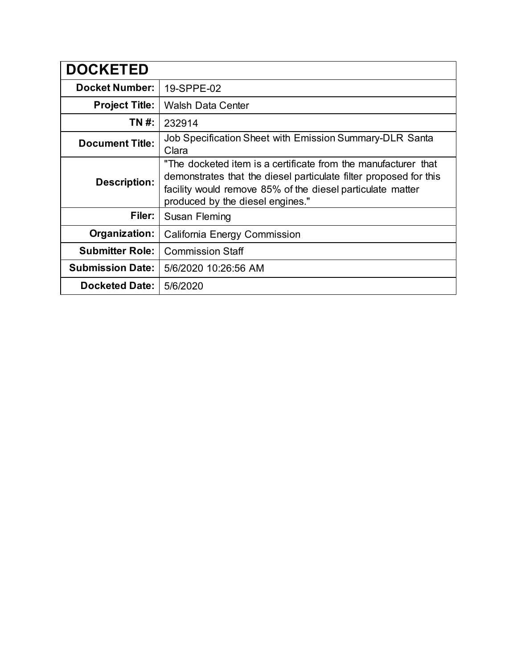| <b>DOCKETED</b>         |                                                                                                                                                                                                                                       |  |  |  |
|-------------------------|---------------------------------------------------------------------------------------------------------------------------------------------------------------------------------------------------------------------------------------|--|--|--|
| <b>Docket Number:</b>   | 19-SPPE-02                                                                                                                                                                                                                            |  |  |  |
| <b>Project Title:</b>   | <b>Walsh Data Center</b>                                                                                                                                                                                                              |  |  |  |
| TN #:                   | 232914                                                                                                                                                                                                                                |  |  |  |
| <b>Document Title:</b>  | Job Specification Sheet with Emission Summary-DLR Santa<br>Clara                                                                                                                                                                      |  |  |  |
| <b>Description:</b>     | "The docketed item is a certificate from the manufacturer that<br>demonstrates that the diesel particulate filter proposed for this<br>facility would remove 85% of the diesel particulate matter<br>produced by the diesel engines." |  |  |  |
| Filer:                  | Susan Fleming                                                                                                                                                                                                                         |  |  |  |
| Organization:           | California Energy Commission                                                                                                                                                                                                          |  |  |  |
| <b>Submitter Role:</b>  | <b>Commission Staff</b>                                                                                                                                                                                                               |  |  |  |
| <b>Submission Date:</b> | 5/6/2020 10:26:56 AM                                                                                                                                                                                                                  |  |  |  |
| <b>Docketed Date:</b>   | 5/6/2020                                                                                                                                                                                                                              |  |  |  |